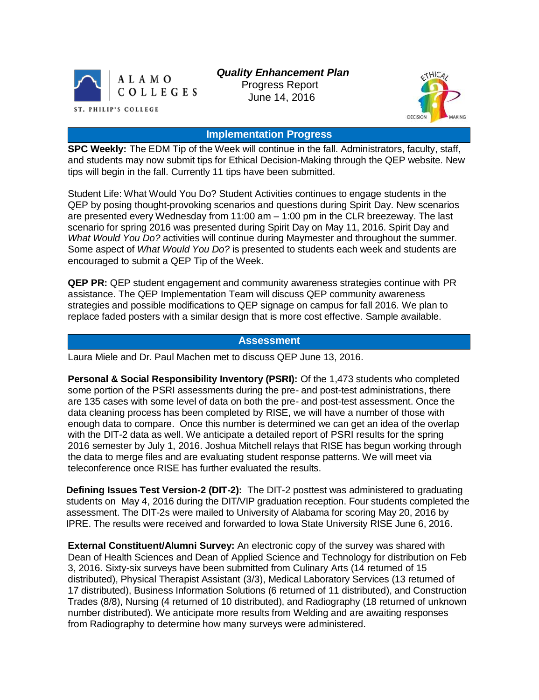

 *Quality Enhancement Plan*

 Progress Report June 14, 2016



## **Implementation Progress**

**SPC Weekly:** The EDM Tip of the Week will continue in the fall. Administrators, faculty, staff, and students may now submit tips for Ethical Decision-Making through the QEP website. New tips will begin in the fall. Currently 11 tips have been submitted.

Student Life: What Would You Do? Student Activities continues to engage students in the QEP by posing thought-provoking scenarios and questions during Spirit Day. New scenarios are presented every Wednesday from 11:00 am – 1:00 pm in the CLR breezeway. The last scenario for spring 2016 was presented during Spirit Day on May 11, 2016. Spirit Day and *What Would You Do?* activities will continue during Maymester and throughout the summer. Some aspect of *What Would You Do?* is presented to students each week and students are encouraged to submit a QEP Tip of the Week.

**QEP PR:** QEP student engagement and community awareness strategies continue with PR assistance. The QEP Implementation Team will discuss QEP community awareness strategies and possible modifications to QEP signage on campus for fall 2016. We plan to replace faded posters with a similar design that is more cost effective. Sample available.

## **Assessment**

Laura Miele and Dr. Paul Machen met to discuss QEP June 13, 2016.

**Personal & Social Responsibility Inventory (PSRI):** Of the 1,473 students who completed some portion of the PSRI assessments during the pre- and post-test administrations, there are 135 cases with some level of data on both the pre- and post-test assessment. Once the data cleaning process has been completed by RISE, we will have a number of those with enough data to compare. Once this number is determined we can get an idea of the overlap with the DIT-2 data as well. We anticipate a detailed report of PSRI results for the spring 2016 semester by July 1, 2016. Joshua Mitchell relays that RISE has begun working through the data to merge files and are evaluating student response patterns. We will meet via teleconference once RISE has further evaluated the results.

**Defining Issues Test Version-2 (DIT-2):** The DIT-2 posttest was administered to graduating students on May 4, 2016 during the DIT/VIP graduation reception. Four students completed the assessment. The DIT-2s were mailed to University of Alabama for scoring May 20, 2016 by IPRE. The results were received and forwarded to Iowa State University RISE June 6, 2016.

**External Constituent/Alumni Survey:** An electronic copy of the survey was shared with Dean of Health Sciences and Dean of Applied Science and Technology for distribution on Feb 3, 2016. Sixty-six surveys have been submitted from Culinary Arts (14 returned of 15 distributed), Physical Therapist Assistant (3/3), Medical Laboratory Services (13 returned of 17 distributed), Business Information Solutions (6 returned of 11 distributed), and Construction Trades (8/8), Nursing (4 returned of 10 distributed), and Radiography (18 returned of unknown number distributed). We anticipate more results from Welding and are awaiting responses from Radiography to determine how many surveys were administered.